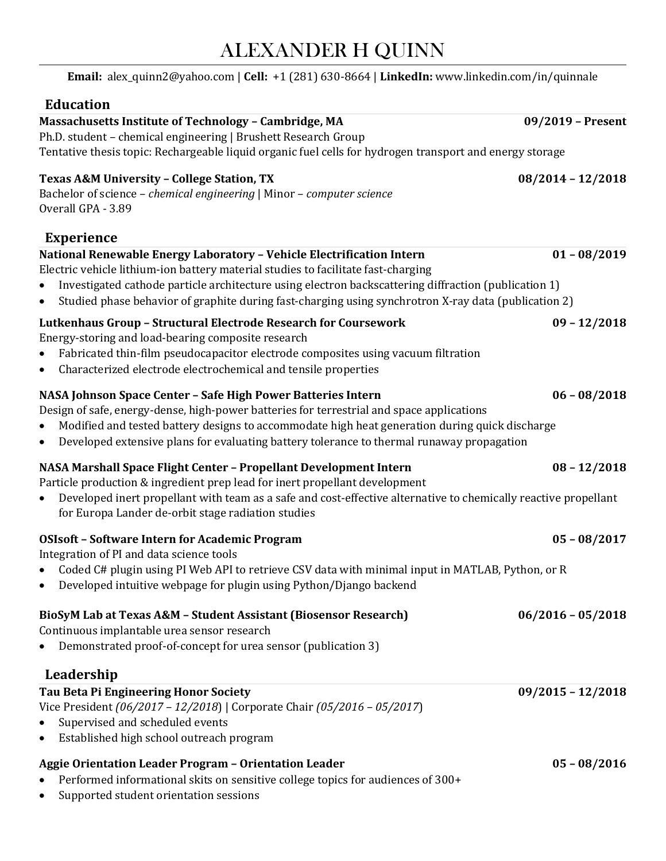# ALEXANDER H QUINN

| Email: alex_quinn2@yahoo.com   Cell: +1 (281) 630-8664   LinkedIn: www.linkedin.com/in/quinnale                                                                                                                                                                                                                                                                                         |                     |
|-----------------------------------------------------------------------------------------------------------------------------------------------------------------------------------------------------------------------------------------------------------------------------------------------------------------------------------------------------------------------------------------|---------------------|
| <b>Education</b>                                                                                                                                                                                                                                                                                                                                                                        |                     |
| Massachusetts Institute of Technology - Cambridge, MA<br>Ph.D. student - chemical engineering   Brushett Research Group<br>Tentative thesis topic: Rechargeable liquid organic fuel cells for hydrogen transport and energy storage                                                                                                                                                     | 09/2019 - Present   |
| <b>Texas A&amp;M University - College Station, TX</b><br>Bachelor of science - chemical engineering   Minor - computer science<br>Overall GPA - 3.89                                                                                                                                                                                                                                    | $08/2014 - 12/2018$ |
| <b>Experience</b>                                                                                                                                                                                                                                                                                                                                                                       |                     |
| National Renewable Energy Laboratory - Vehicle Electrification Intern<br>Electric vehicle lithium-ion battery material studies to facilitate fast-charging<br>Investigated cathode particle architecture using electron backscattering diffraction (publication 1)<br>Studied phase behavior of graphite during fast-charging using synchrotron X-ray data (publication 2)<br>$\bullet$ | $01 - 08/2019$      |
| Lutkenhaus Group - Structural Electrode Research for Coursework<br>Energy-storing and load-bearing composite research<br>Fabricated thin-film pseudocapacitor electrode composites using vacuum filtration<br>Characterized electrode electrochemical and tensile properties<br>$\bullet$                                                                                               | $09 - 12/2018$      |
| NASA Johnson Space Center - Safe High Power Batteries Intern<br>Design of safe, energy-dense, high-power batteries for terrestrial and space applications<br>Modified and tested battery designs to accommodate high heat generation during quick discharge<br>Developed extensive plans for evaluating battery tolerance to thermal runaway propagation<br>$\bullet$                   | $06 - 08/2018$      |
| NASA Marshall Space Flight Center - Propellant Development Intern<br>Particle production & ingredient prep lead for inert propellant development<br>Developed inert propellant with team as a safe and cost-effective alternative to chemically reactive propellant<br>$\bullet$<br>for Europa Lander de-orbit stage radiation studies                                                  | $08 - 12/2018$      |
| <b>OSIsoft - Software Intern for Academic Program</b><br>Integration of PI and data science tools<br>Coded C# plugin using PI Web API to retrieve CSV data with minimal input in MATLAB, Python, or R<br>Developed intuitive webpage for plugin using Python/Django backend                                                                                                             | $05 - 08/2017$      |
| BioSyM Lab at Texas A&M - Student Assistant (Biosensor Research)<br>Continuous implantable urea sensor research<br>Demonstrated proof-of-concept for urea sensor (publication 3)                                                                                                                                                                                                        | $06/2016 - 05/2018$ |
| Leadership                                                                                                                                                                                                                                                                                                                                                                              |                     |
| Tau Beta Pi Engineering Honor Society<br>Vice President (06/2017 - 12/2018)   Corporate Chair (05/2016 - 05/2017)<br>Supervised and scheduled events<br>Established high school outreach program<br>$\bullet$                                                                                                                                                                           | $09/2015 - 12/2018$ |
| <b>Aggie Orientation Leader Program - Orientation Leader</b><br>Performed informational skits on sensitive college topics for audiences of 300+<br>Supported student orientation sessions                                                                                                                                                                                               | $05 - 08/2016$      |